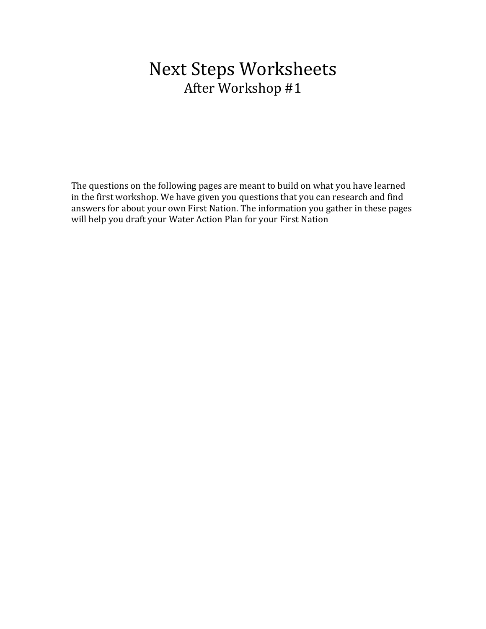# **Next Steps Worksheets** After Workshop #1

The questions on the following pages are meant to build on what you have learned in the first workshop. We have given you questions that you can research and find answers for about your own First Nation. The information you gather in these pages will help you draft your Water Action Plan for your First Nation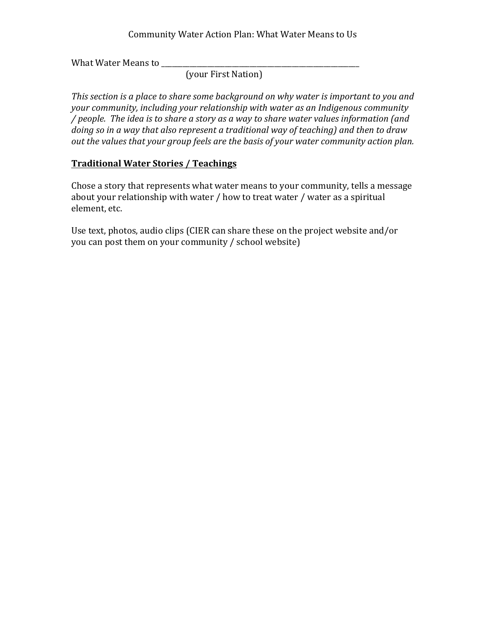### Community Water Action Plan: What Water Means to Us

What Water Means to \_\_\_\_\_\_\_\_\_\_\_\_\_\_\_\_\_\_\_\_\_\_\_\_\_\_\_\_\_\_\_\_\_\_\_\_\_\_\_\_\_\_\_\_\_\_\_\_\_\_\_\_\_\_\_\_

(your First Nation)

*This section is a place to share some background on why water is important to you and your community, including your relationship with water as an Indigenous community / people. The idea is to share a story as a way to share water values information (and doing* so in a way that also represent a traditional way of teaching) and then to draw out the values that your group feels are the basis of your water community action plan.

# **Traditional Water Stories / Teachings**

Chose a story that represents what water means to your community, tells a message about your relationship with water  $/$  how to treat water  $/$  water as a spiritual element, etc.

Use text, photos, audio clips (CIER can share these on the project website and/or you can post them on your community / school website)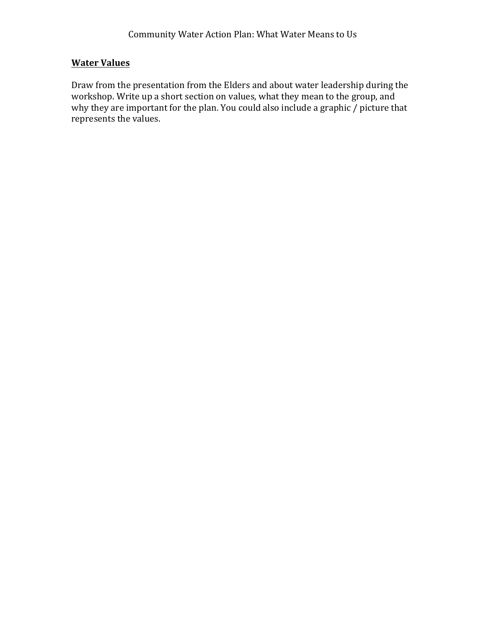# **Water Values**

Draw from the presentation from the Elders and about water leadership during the workshop. Write up a short section on values, what they mean to the group, and why they are important for the plan. You could also include a graphic  $\overline{\prime}$  picture that represents the values.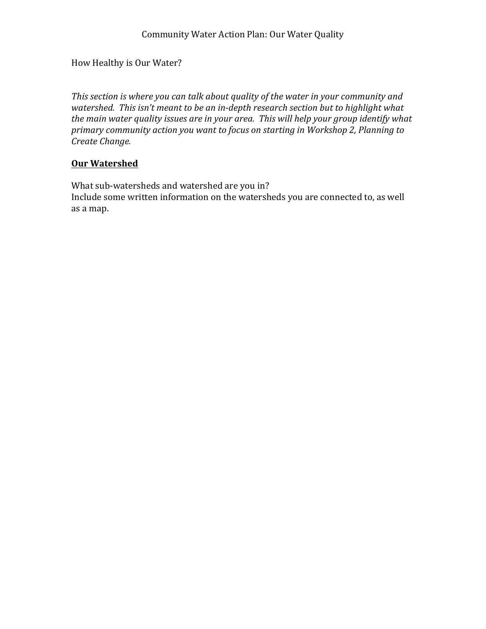## How Healthy is Our Water?

This section is where you can talk about quality of the water in your community and *watershed.* This isn't meant to be an in-depth research section but to highlight what the main water quality issues are in your area. This will help your group identify what primary community action you want to focus on starting in Workshop 2, Planning to *Create Change.* 

## **Our Watershed**

What sub-watersheds and watershed are you in? Include some written information on the watersheds you are connected to, as well as a map.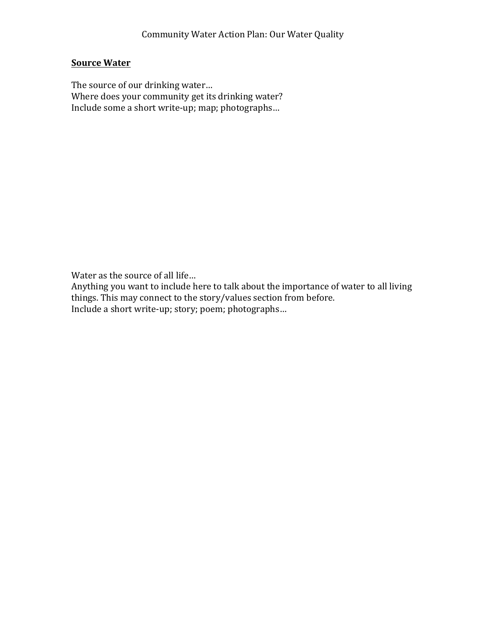## **Source Water**

The source of our drinking water... Where does your community get its drinking water? Include some a short write-up; map; photographs...

Water as the source of all life...

Anything you want to include here to talk about the importance of water to all living things. This may connect to the story/values section from before. Include a short write-up; story; poem; photographs...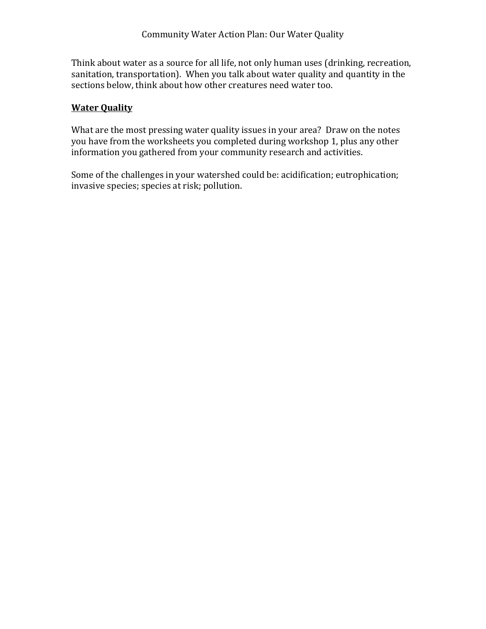Think about water as a source for all life, not only human uses (drinking, recreation, sanitation, transportation). When you talk about water quality and quantity in the sections below, think about how other creatures need water too.

#### **Water Quality**

What are the most pressing water quality issues in your area? Draw on the notes you have from the worksheets you completed during workshop 1, plus any other information you gathered from your community research and activities.

Some of the challenges in your watershed could be: acidification; eutrophication; invasive species; species at risk; pollution.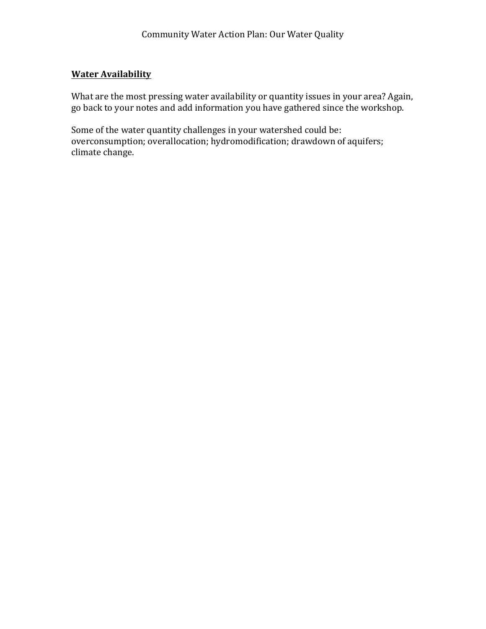### **Water Availability**

What are the most pressing water availability or quantity issues in your area? Again, go back to your notes and add information you have gathered since the workshop.

Some of the water quantity challenges in your watershed could be: overconsumption; overallocation; hydromodification; drawdown of aquifers; climate change.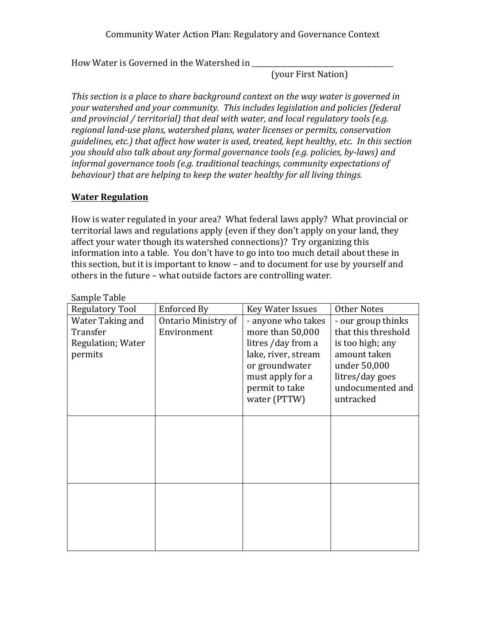### Community Water Action Plan: Regulatory and Governance Context

How Water is Governed in the Watershed in

(your First Nation)

*This section is a place to share background context on the way water is governed in your* watershed and your community. This includes legislation and policies (federal and provincial / territorial) that deal with water, and local regulatory tools (e.g. regional land-use plans, watershed plans, water licenses or permits, conservation *guidelines, etc.)* that affect how water is used, treated, kept healthy, etc. In this section *you should also talk about any formal governance tools (e.g. policies, by-laws) and informal governance tools (e.g. traditional teachings, community expectations of behaviour)* that are helping to keep the water healthy for all living things.

#### **Water Regulation**

How is water regulated in your area? What federal laws apply? What provincial or territorial laws and regulations apply (even if they don't apply on your land, they affect your water though its watershed connections)? Try organizing this information into a table. You don't have to go into too much detail about these in this section, but it is important to know – and to document for use by yourself and others in the future – what outside factors are controlling water.

| <b>Regulatory Tool</b>   | Enforced By         | <b>Key Water Issues</b> | <b>Other Notes</b>  |
|--------------------------|---------------------|-------------------------|---------------------|
| Water Taking and         | Ontario Ministry of | - anyone who takes      | - our group thinks  |
| Transfer                 | Environment         | more than 50,000        | that this threshold |
| <b>Regulation; Water</b> |                     | litres / day from a     | is too high; any    |
| permits                  |                     | lake, river, stream     | amount taken        |
|                          |                     | or groundwater          | under 50,000        |
|                          |                     | must apply for a        | litres/day goes     |
|                          |                     | permit to take          | undocumented and    |
|                          |                     | water (PTTW)            | untracked           |
|                          |                     |                         |                     |
|                          |                     |                         |                     |
|                          |                     |                         |                     |
|                          |                     |                         |                     |
|                          |                     |                         |                     |
|                          |                     |                         |                     |
|                          |                     |                         |                     |
|                          |                     |                         |                     |
|                          |                     |                         |                     |
|                          |                     |                         |                     |
|                          |                     |                         |                     |
|                          |                     |                         |                     |
|                          |                     |                         |                     |

Sample Table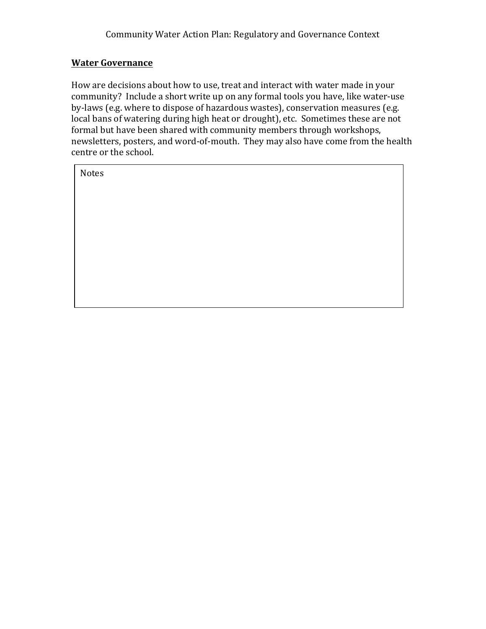## **Water Governance**

How are decisions about how to use, treat and interact with water made in your community? Include a short write up on any formal tools you have, like water-use by-laws (e.g. where to dispose of hazardous wastes), conservation measures (e.g. local bans of watering during high heat or drought), etc. Sometimes these are not formal but have been shared with community members through workshops, newsletters, posters, and word-of-mouth. They may also have come from the health centre or the school.

Notes